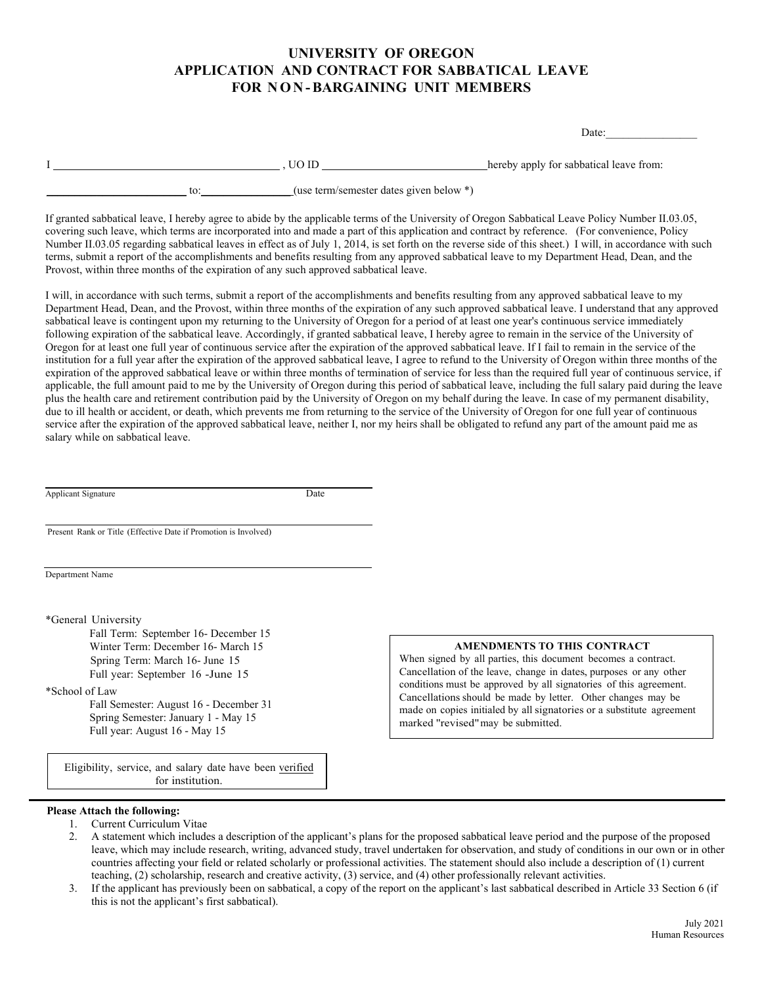## **UNIVERSITY OF OREGON APPLICATION AND CONTRACT FOR SABBATICAL LEAVE FOR NON -BARGAINING UNIT MEMBERS**

| Date: |
|-------|
|-------|

|  | UO ID                                     | hereby apply for sabbatical leave from: |
|--|-------------------------------------------|-----------------------------------------|
|  | (use term/semester dates given below $*)$ |                                         |

If granted sabbatical leave, I hereby agree to abide by the applicable terms of the University of Oregon Sabbatical Leave Policy Number II.03.05, covering such leave, which terms are incorporated into and made a part of this application and contract by reference. (For convenience, Policy Number II.03.05 regarding sabbatical leaves in effect as of July 1, 2014, is set forth on the reverse side of this sheet.) I will, in accordance with such terms, submit a report of the accomplishments and benefits resulting from any approved sabbatical leave to my Department Head, Dean, and the Provost, within three months of the expiration of any such approved sabbatical leave.

I will, in accordance with such terms, submit a report of the accomplishments and benefits resulting from any approved sabbatical leave to my Department Head, Dean, and the Provost, within three months of the expiration of any such approved sabbatical leave. I understand that any approved sabbatical leave is contingent upon my returning to the University of Oregon for a period of at least one year's continuous service immediately following expiration of the sabbatical leave. Accordingly, if granted sabbatical leave, I hereby agree to remain in the service of the University of Oregon for at least one full year of continuous service after the expiration of the approved sabbatical leave. If I fail to remain in the service of the institution for a full year after the expiration of the approved sabbatical leave, I agree to refund to the University of Oregon within three months of the expiration of the approved sabbatical leave or within three months of termination of service for less than the required full year of continuous service, if applicable, the full amount paid to me by the University of Oregon during this period of sabbatical leave, including the full salary paid during the leave plus the health care and retirement contribution paid by the University of Oregon on my behalf during the leave. In case of my permanent disability, due to ill health or accident, or death, which prevents me from returning to the service of the University of Oregon for one full year of continuous service after the expiration of the approved sabbatical leave, neither I, nor my heirs shall be obligated to refund any part of the amount paid me as salary while on sabbatical leave.

| Applicant Signature | Date |
|---------------------|------|
|---------------------|------|

Present Rank or Title (Effective Date if Promotion is Involved)

Department Name

\*General University

Fall Term: September 16- December 15 Winter Term: December 16- March 15 Spring Term: March 16- June 15 Full year: September 16 -June 15

### \*School of Law

Fall Semester: August 16 - December 31 Spring Semester: January 1 - May 15 Full year: August 16 - May 15

#### **AMENDMENTS TO THIS CONTRACT**

When signed by all parties, this document becomes a contract. Cancellation of the leave, change in dates, purposes or any other conditions must be approved by all signatories of this agreement. Cancellations should be made by letter. Other changes may be made on copies initialed by all signatories or a substitute agreement marked ''revised"may be submitted.

Eligibility, service, and salary date have been verified for institution.

#### **Please Attach the following:**

- 1. Current Curriculum Vitae
- 2. A statement which includes a description of the applicant's plans for the proposed sabbatical leave period and the purpose of the proposed leave, which may include research, writing, advanced study, travel undertaken for observation, and study of conditions in our own or in other countries affecting your field or related scholarly or professional activities. The statement should also include a description of (1) current teaching, (2) scholarship, research and creative activity, (3) service, and (4) other professionally relevant activities.
- 3. If the applicant has previously been on sabbatical, a copy of the report on the applicant's last sabbatical described in Article 33 Section 6 (if this is not the applicant's first sabbatical).